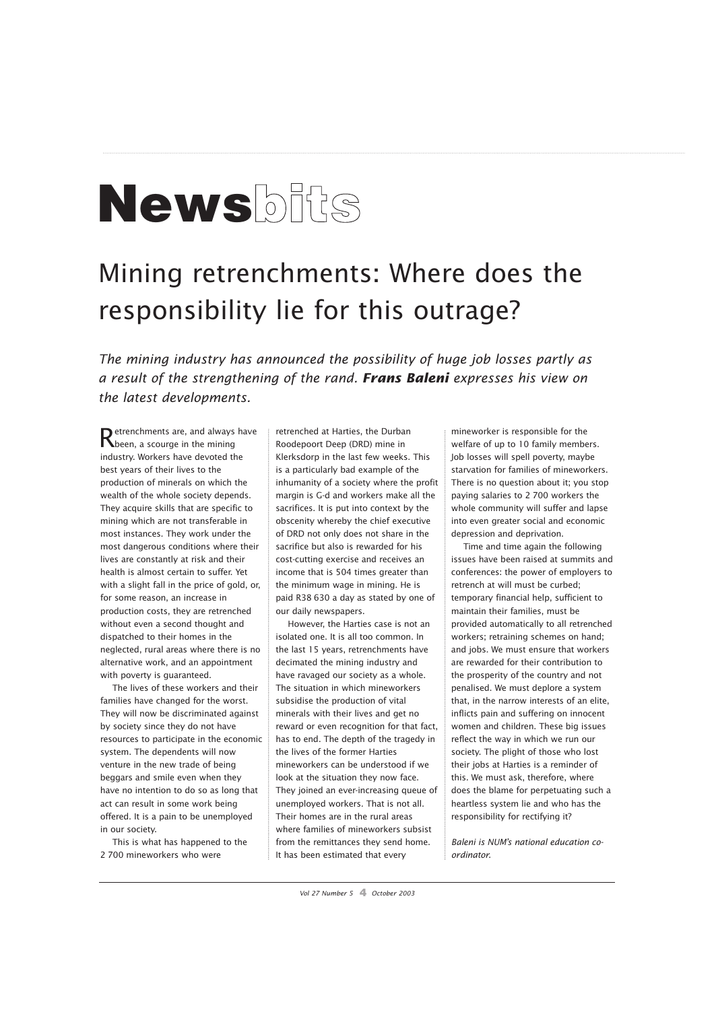## **News**bitts

## Mining retrenchments: Where does the responsibility lie for this outrage?

*The mining industry has announced the possibility of huge job losses partly as a result of the strengthening of the rand. Frans Baleni expresses his view on the latest developments.*

Retrenchments are, and always have<br>Referent, a scourge in the mining been, a scourge in the mining industry. Workers have devoted the best years of their lives to the production of minerals on which the wealth of the whole society depends. They acquire skills that are specific to mining which are not transferable in most instances. They work under the most dangerous conditions where their lives are constantly at risk and their health is almost certain to suffer. Yet with a slight fall in the price of gold, or, for some reason, an increase in production costs, they are retrenched without even a second thought and dispatched to their homes in the neglected, rural areas where there is no alternative work, and an appointment with poverty is guaranteed.

The lives of these workers and their families have changed for the worst. They will now be discriminated against by society since they do not have resources to participate in the economic system. The dependents will now venture in the new trade of being beggars and smile even when they have no intention to do so as long that act can result in some work being offered. It is a pain to be unemployed in our society.

This is what has happened to the 2 700 mineworkers who were

retrenched at Harties, the Durban Roodepoort Deep (DRD) mine in Klerksdorp in the last few weeks. This is a particularly bad example of the inhumanity of a society where the profit margin is G-d and workers make all the sacrifices. It is put into context by the obscenity whereby the chief executive of DRD not only does not share in the sacrifice but also is rewarded for his cost-cutting exercise and receives an income that is 504 times greater than the minimum wage in mining. He is paid R38 630 a day as stated by one of our daily newspapers.

However, the Harties case is not an isolated one. It is all too common. In the last 15 years, retrenchments have decimated the mining industry and have ravaged our society as a whole. The situation in which mineworkers subsidise the production of vital minerals with their lives and get no reward or even recognition for that fact, has to end. The depth of the tragedy in the lives of the former Harties mineworkers can be understood if we look at the situation they now face. They joined an ever-increasing queue of unemployed workers. That is not all. Their homes are in the rural areas where families of mineworkers subsist from the remittances they send home. It has been estimated that every

mineworker is responsible for the welfare of up to 10 family members. Job losses will spell poverty, maybe starvation for families of mineworkers. There is no question about it; you stop paying salaries to 2 700 workers the whole community will suffer and lapse into even greater social and economic depression and deprivation.

Time and time again the following issues have been raised at summits and conferences: the power of employers to retrench at will must be curbed; temporary financial help, sufficient to maintain their families, must be provided automatically to all retrenched workers; retraining schemes on hand; and jobs. We must ensure that workers are rewarded for their contribution to the prosperity of the country and not penalised. We must deplore a system that, in the narrow interests of an elite, inflicts pain and suffering on innocent women and children. These big issues reflect the way in which we run our society. The plight of those who lost their jobs at Harties is a reminder of this. We must ask, therefore, where does the blame for perpetuating such a heartless system lie and who has the responsibility for rectifying it?

*Baleni is NUM's national education coordinator.*